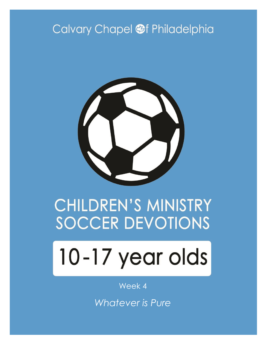# Calvary Chapel @f Philadelphia



# **CHILDREN'S MINISTRY SOCCER DEVOTIONS**

# 10-17 year olds

#### Week 4

*Whatever is Pure*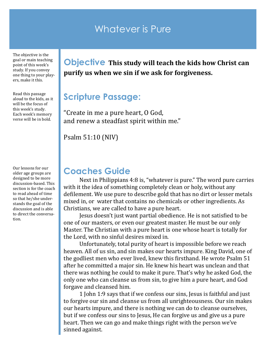#### Whatever is Pure

The objective is the goal or main teaching point of this week's study. If you convey one thing to your players, make it this.

Read this passage aloud to the kids, as it will be the focus of this week's study. Each week's memory verse will be in bold.

Our lessons for our older age groups are designed to be more discussion-based. This section is for the coach to read ahead of time so that he/she understands the goal of the discussion and is able to direct the conversation.

**Objective This study will teach the kids how Christ can purify us when we sin if we ask for forgiveness.**

#### **Scripture Passage:**

"Create in me a pure heart, O God, and renew a steadfast spirit within me."

Psalm 51:10 (NIV)

#### **Coaches Guide**

Next in Philippians 4:8 is, "whatever is pure." The word pure carries with it the idea of something completely clean or holy, without any defilement. We use pure to describe gold that has no dirt or lesser metals mixed in, or water that contains no chemicals or other ingredients. As Christians, we are called to have a pure heart.

Jesus doesn't just want partial obedience. He is not satisfied to be one of our masters, or even our greatest master. He must be our only Master. The Christian with a pure heart is one whose heart is totally for the Lord, with no sinful desires mixed in.

Unfortunately, total purity of heart is impossible before we reach heaven. All of us sin, and sin makes our hearts impure. King David, one of the godliest men who ever lived, knew this firsthand. He wrote Psalm 51 after he committed a major sin. He knew his heart was unclean and that there was nothing he could to make it pure. That's why he asked God, the only one who can cleanse us from sin, to give him a pure heart, and God forgave and cleansed him.

1 John 1:9 says that if we confess our sins, Jesus is faithful and just to forgive our sin and cleanse us from all unrighteousness. Our sin makes our hearts impure, and there is nothing we can do to cleanse ourselves, but if we confess our sins to Jesus, He can forgive us and give us a pure heart. Then we can go and make things right with the person we've sinned against.